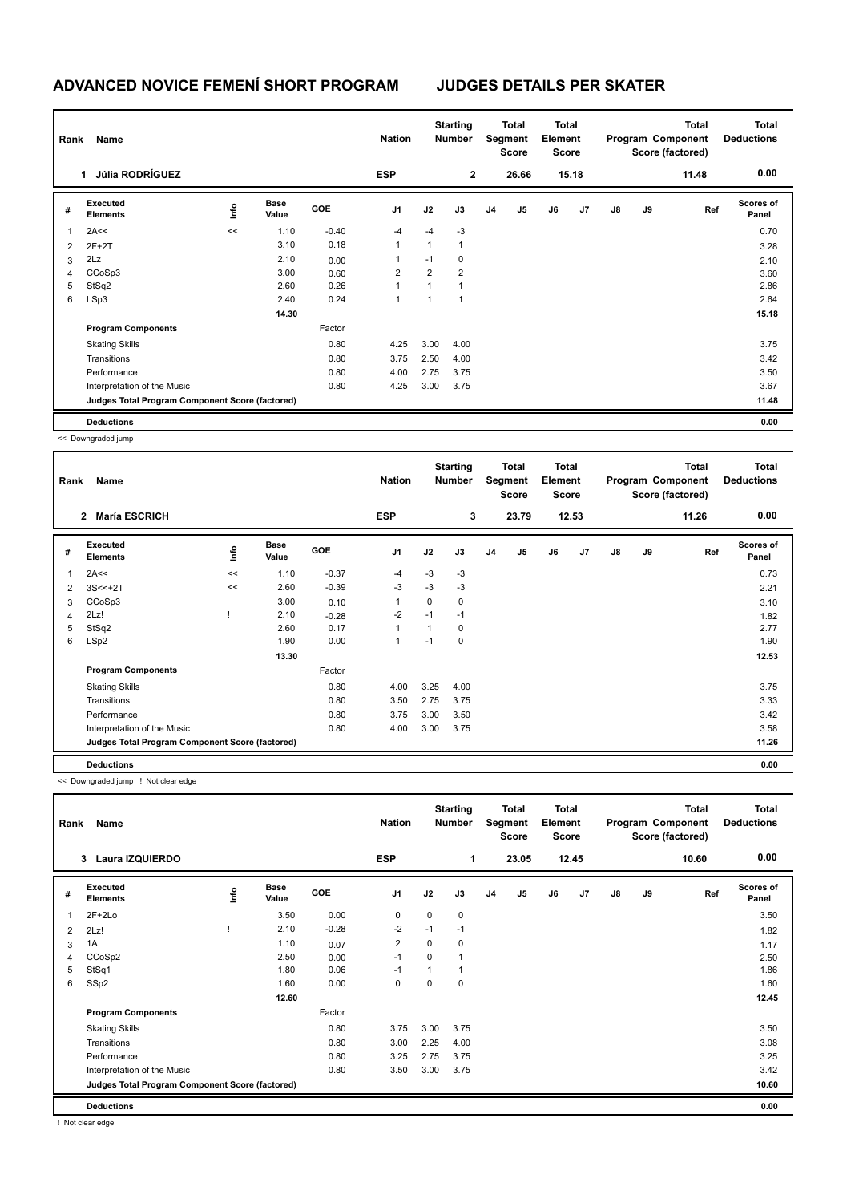## **ADVANCED NOVICE FEMENÍ SHORT PROGRAM JUDGES DETAILS PER SKATER**

| Rank | Name                                            |      |                      |            | <b>Nation</b>  |                | <b>Starting</b><br><b>Number</b> |                | <b>Total</b><br>Segment<br><b>Score</b> | <b>Total</b><br>Element<br>Score |       |    |    | <b>Total</b><br>Program Component<br>Score (factored) | <b>Total</b><br><b>Deductions</b> |
|------|-------------------------------------------------|------|----------------------|------------|----------------|----------------|----------------------------------|----------------|-----------------------------------------|----------------------------------|-------|----|----|-------------------------------------------------------|-----------------------------------|
|      | Júlia RODRÍGUEZ<br>1                            |      |                      |            | <b>ESP</b>     |                | $\overline{2}$                   |                | 26.66                                   |                                  | 15.18 |    |    | 11.48                                                 | 0.00                              |
| #    | <b>Executed</b><br><b>Elements</b>              | lnfo | <b>Base</b><br>Value | <b>GOE</b> | J <sub>1</sub> | J2             | J3                               | J <sub>4</sub> | J5                                      | J6                               | J7    | J8 | J9 | Ref                                                   | <b>Scores of</b><br>Panel         |
| 1    | 2A<<                                            | <<   | 1.10                 | $-0.40$    | $-4$           | $-4$           | $-3$                             |                |                                         |                                  |       |    |    |                                                       | 0.70                              |
| 2    | $2F+2T$                                         |      | 3.10                 | 0.18       | 1              | $\mathbf{1}$   | $\overline{1}$                   |                |                                         |                                  |       |    |    |                                                       | 3.28                              |
| 3    | 2Lz                                             |      | 2.10                 | 0.00       |                | $-1$           | 0                                |                |                                         |                                  |       |    |    |                                                       | 2.10                              |
| 4    | CCoSp3                                          |      | 3.00                 | 0.60       | $\overline{2}$ | $\overline{2}$ | $\overline{2}$                   |                |                                         |                                  |       |    |    |                                                       | 3.60                              |
| 5    | StSq2                                           |      | 2.60                 | 0.26       |                | 1              |                                  |                |                                         |                                  |       |    |    |                                                       | 2.86                              |
| 6    | LSp3                                            |      | 2.40                 | 0.24       | 1              | 1              | 1                                |                |                                         |                                  |       |    |    |                                                       | 2.64                              |
|      |                                                 |      | 14.30                |            |                |                |                                  |                |                                         |                                  |       |    |    |                                                       | 15.18                             |
|      | <b>Program Components</b>                       |      |                      | Factor     |                |                |                                  |                |                                         |                                  |       |    |    |                                                       |                                   |
|      | <b>Skating Skills</b>                           |      |                      | 0.80       | 4.25           | 3.00           | 4.00                             |                |                                         |                                  |       |    |    |                                                       | 3.75                              |
|      | Transitions                                     |      |                      | 0.80       | 3.75           | 2.50           | 4.00                             |                |                                         |                                  |       |    |    |                                                       | 3.42                              |
|      | Performance                                     |      |                      | 0.80       | 4.00           | 2.75           | 3.75                             |                |                                         |                                  |       |    |    |                                                       | 3.50                              |
|      | Interpretation of the Music                     |      |                      | 0.80       | 4.25           | 3.00           | 3.75                             |                |                                         |                                  |       |    |    |                                                       | 3.67                              |
|      | Judges Total Program Component Score (factored) |      |                      |            |                |                |                                  |                |                                         |                                  |       |    |    |                                                       | 11.48                             |
|      | <b>Deductions</b>                               |      |                      |            |                |                |                                  |                |                                         |                                  |       |    |    |                                                       | 0.00                              |

<< Downgraded jump

|   | <b>Name</b><br>Rank                             |      |                      |            | <b>Nation</b> | <b>Starting</b><br><b>Number</b> |      | <b>Total</b><br>Segment<br><b>Score</b> |                | <b>Total</b><br>Element<br><b>Score</b> |       | <b>Total</b><br>Program Component<br>Score (factored) |    |       | <b>Total</b><br><b>Deductions</b> |
|---|-------------------------------------------------|------|----------------------|------------|---------------|----------------------------------|------|-----------------------------------------|----------------|-----------------------------------------|-------|-------------------------------------------------------|----|-------|-----------------------------------|
|   | <b>María ESCRICH</b><br>$\overline{2}$          |      |                      |            | <b>ESP</b>    |                                  | 3    |                                         | 23.79          |                                         | 12.53 |                                                       |    | 11.26 | 0.00                              |
| # | Executed<br><b>Elements</b>                     | ١nfo | <b>Base</b><br>Value | <b>GOE</b> | J1            | J2                               | J3   | J <sub>4</sub>                          | J <sub>5</sub> | J6                                      | J7    | J8                                                    | J9 | Ref   | <b>Scores of</b><br>Panel         |
| 1 | 2A<<                                            | <<   | 1.10                 | $-0.37$    | $-4$          | $-3$                             | $-3$ |                                         |                |                                         |       |                                                       |    |       | 0.73                              |
| 2 | $3S < +2T$                                      | <<   | 2.60                 | $-0.39$    | $-3$          | $-3$                             | $-3$ |                                         |                |                                         |       |                                                       |    |       | 2.21                              |
| 3 | CCoSp3                                          |      | 3.00                 | 0.10       |               | 0                                | 0    |                                         |                |                                         |       |                                                       |    |       | 3.10                              |
| 4 | 2Lz!                                            |      | 2.10                 | $-0.28$    | $-2$          | $-1$                             | $-1$ |                                         |                |                                         |       |                                                       |    |       | 1.82                              |
| 5 | StSq2                                           |      | 2.60                 | 0.17       | 1             | $\mathbf{1}$                     | 0    |                                         |                |                                         |       |                                                       |    |       | 2.77                              |
| 6 | LSp2                                            |      | 1.90                 | 0.00       | 1             | $-1$                             | 0    |                                         |                |                                         |       |                                                       |    |       | 1.90                              |
|   |                                                 |      | 13.30                |            |               |                                  |      |                                         |                |                                         |       |                                                       |    |       | 12.53                             |
|   | <b>Program Components</b>                       |      |                      | Factor     |               |                                  |      |                                         |                |                                         |       |                                                       |    |       |                                   |
|   | <b>Skating Skills</b>                           |      |                      | 0.80       | 4.00          | 3.25                             | 4.00 |                                         |                |                                         |       |                                                       |    |       | 3.75                              |
|   | Transitions                                     |      |                      | 0.80       | 3.50          | 2.75                             | 3.75 |                                         |                |                                         |       |                                                       |    |       | 3.33                              |
|   | Performance                                     |      |                      | 0.80       | 3.75          | 3.00                             | 3.50 |                                         |                |                                         |       |                                                       |    |       | 3.42                              |
|   | Interpretation of the Music                     |      |                      | 0.80       | 4.00          | 3.00                             | 3.75 |                                         |                |                                         |       |                                                       |    |       | 3.58                              |
|   | Judges Total Program Component Score (factored) |      |                      |            |               |                                  |      |                                         |                |                                         |       |                                                       |    |       | 11.26                             |
|   | <b>Deductions</b>                               |      |                      |            |               |                                  |      |                                         |                |                                         |       |                                                       |    |       | 0.00                              |

<< Downgraded jump ! Not clear edge

|                | Name<br>Rank                                    |      |                      |            | <b>Nation</b>  | <b>Starting</b><br><b>Number</b> |      | <b>Total</b><br>Segment<br><b>Score</b> |                | <b>Total</b><br>Element<br><b>Score</b> |       | Program Component<br>Score (factored) |    | <b>Total</b> | <b>Total</b><br><b>Deductions</b> |
|----------------|-------------------------------------------------|------|----------------------|------------|----------------|----------------------------------|------|-----------------------------------------|----------------|-----------------------------------------|-------|---------------------------------------|----|--------------|-----------------------------------|
|                | <b>Laura IZQUIERDO</b><br>3                     |      |                      |            | <b>ESP</b>     |                                  | 1    |                                         | 23.05          |                                         | 12.45 |                                       |    | 10.60        | 0.00                              |
| #              | Executed<br><b>Elements</b>                     | lnfo | <b>Base</b><br>Value | <b>GOE</b> | J <sub>1</sub> | J2                               | J3   | J <sub>4</sub>                          | J <sub>5</sub> | J6                                      | J7    | J8                                    | J9 | Ref          | <b>Scores of</b><br>Panel         |
|                | $2F+2Lo$                                        |      | 3.50                 | 0.00       | 0              | 0                                | 0    |                                         |                |                                         |       |                                       |    |              | 3.50                              |
| $\overline{2}$ | 2Lz!                                            |      | 2.10                 | $-0.28$    | $-2$           | $-1$                             | $-1$ |                                         |                |                                         |       |                                       |    |              | 1.82                              |
| 3              | 1A                                              |      | 1.10                 | 0.07       | $\overline{2}$ | $\Omega$                         | 0    |                                         |                |                                         |       |                                       |    |              | 1.17                              |
| 4              | CCoSp2                                          |      | 2.50                 | 0.00       | $-1$           | $\Omega$                         | 1    |                                         |                |                                         |       |                                       |    |              | 2.50                              |
| 5              | StSq1                                           |      | 1.80                 | 0.06       | $-1$           |                                  | 1    |                                         |                |                                         |       |                                       |    |              | 1.86                              |
| 6              | SSp2                                            |      | 1.60                 | 0.00       | 0              | 0                                | 0    |                                         |                |                                         |       |                                       |    |              | 1.60                              |
|                |                                                 |      | 12.60                |            |                |                                  |      |                                         |                |                                         |       |                                       |    |              | 12.45                             |
|                | <b>Program Components</b>                       |      |                      | Factor     |                |                                  |      |                                         |                |                                         |       |                                       |    |              |                                   |
|                | <b>Skating Skills</b>                           |      |                      | 0.80       | 3.75           | 3.00                             | 3.75 |                                         |                |                                         |       |                                       |    |              | 3.50                              |
|                | Transitions                                     |      |                      | 0.80       | 3.00           | 2.25                             | 4.00 |                                         |                |                                         |       |                                       |    |              | 3.08                              |
|                | Performance                                     |      |                      | 0.80       | 3.25           | 2.75                             | 3.75 |                                         |                |                                         |       |                                       |    |              | 3.25                              |
|                | Interpretation of the Music                     |      |                      | 0.80       | 3.50           | 3.00                             | 3.75 |                                         |                |                                         |       |                                       |    |              | 3.42                              |
|                | Judges Total Program Component Score (factored) |      |                      |            |                |                                  |      |                                         |                |                                         |       |                                       |    |              | 10.60                             |
|                | <b>Deductions</b>                               |      |                      |            |                |                                  |      |                                         |                |                                         |       |                                       |    |              | 0.00                              |

! Not clear edge